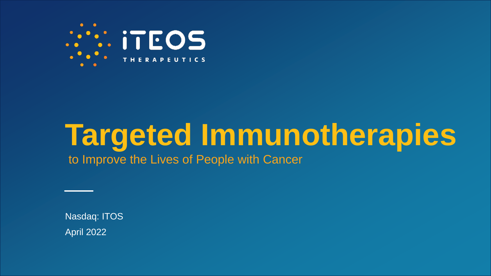

# **Targeted Immunotherapies**

to Improve the Lives of People with Cancer

April 2022 Nasdaq: ITOS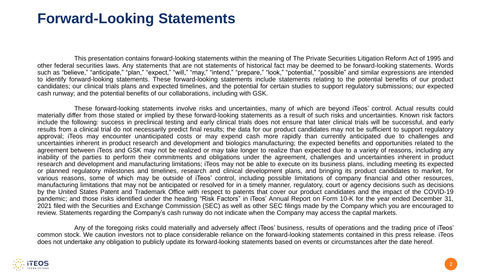### **Forward-Looking Statements**

This presentation contains forward-looking statements within the meaning of The Private Securities Litigation Reform Act of 1995 and other federal securities laws. Any statements that are not statements of historical fact may be deemed to be forward-looking statements. Words such as "believe," "anticipate," "plan," "expect," "will," "may," "intend," "prepare," "look," "potential," "possible" and similar expressions are intended to identify forward-looking statements. These forward-looking statements include statements relating to the potential benefits of our product candidates; our clinical trials plans and expected timelines, and the potential for certain studies to support regulatory submissions; our expected cash runway; and the potential benefits of our collaborations, including with GSK.

These forward-looking statements involve risks and uncertainties, many of which are beyond iTeos' control. Actual results could materially differ from those stated or implied by these forward-looking statements as a result of such risks and uncertainties. Known risk factors include the following: success in preclinical testing and early clinical trials does not ensure that later clinical trials will be successful, and early results from a clinical trial do not necessarily predict final results; the data for our product candidates may not be sufficient to support regulatory approval; iTeos may encounter unanticipated costs or may expend cash more rapidly than currently anticipated due to challenges and uncertainties inherent in product research and development and biologics manufacturing; the expected benefits and opportunities related to the agreement between iTeos and GSK may not be realized or may take longer to realize than expected due to a variety of reasons, including any inability of the parties to perform their commitments and obligations under the agreement, challenges and uncertainties inherent in product research and development and manufacturing limitations; iTeos may not be able to execute on its business plans, including meeting its expected or planned regulatory milestones and timelines, research and clinical development plans, and bringing its product candidates to market, for various reasons, some of which may be outside of iTeos' control, including possible limitations of company financial and other resources, manufacturing limitations that may not be anticipated or resolved for in a timely manner, regulatory, court or agency decisions such as decisions by the United States Patent and Trademark Office with respect to patents that cover our product candidates and the impact of the COVID-19 pandemic; and those risks identified under the heading "Risk Factors" in iTeos' Annual Report on Form 10-K for the year ended December 31, 2021 filed with the Securities and Exchange Commission (SEC) as well as other SEC filings made by the Company which you are encouraged to review. Statements regarding the Company's cash runway do not indicate when the Company may access the capital markets.

Any of the foregoing risks could materially and adversely affect iTeos' business, results of operations and the trading price of iTeos' common stock. We caution investors not to place considerable reliance on the forward-looking statements contained in this press release. iTeos does not undertake any obligation to publicly update its forward-looking statements based on events or circumstances after the date hereof.

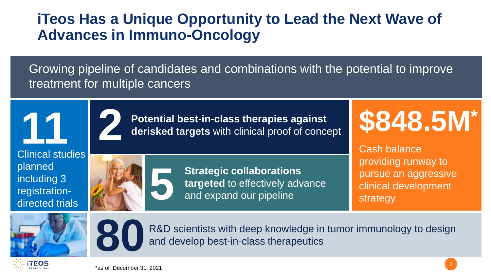# **iTeos Has a Unique Opportunity to Lead the Next Wave of Advances in Immuno-Oncology**

Growing pipeline of candidates and combinations with the potential to improve treatment for multiple cancers

**11** Clinical studies planned including 3

**5**

**Potential best-in-class therapies against 2 derisked targets** with clinical proof of concept

# **\$848.5M\***

**Strategic collaborations targeted** to effectively advance and expand our pipeline

Cash balance providing runway to pursue an aggressive clinical development strategy



**ITEOS** 

registration-

directed trials



R&D scientists with deep knowledge in tumor immunology to design and develop best-in-class therapeutics

\*as of December 31, 2021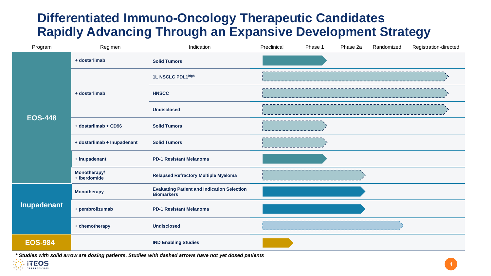#### **Differentiated Immuno-Oncology Therapeutic Candidates Rapidly Advancing Through an Expansive Development Strategy**

| Program        | Regimen                             | Indication                                                              | Preclinical | Phase 1 | Phase 2a | Randomized | Registration-directed |
|----------------|-------------------------------------|-------------------------------------------------------------------------|-------------|---------|----------|------------|-----------------------|
|                | + dostarlimab                       | <b>Solid Tumors</b>                                                     |             |         |          |            |                       |
| <b>EOS-448</b> | + dostarlimab                       | 1L NSCLC PDL1high                                                       |             |         |          |            |                       |
|                |                                     | <b>HNSCC</b>                                                            |             |         |          |            |                       |
|                |                                     | <b>Undisclosed</b>                                                      |             |         |          |            |                       |
|                | + dostarlimab + CD96                | <b>Solid Tumors</b>                                                     |             |         |          |            |                       |
|                | + dostarlimab + Inupadenant         | <b>Solid Tumors</b>                                                     |             |         |          |            |                       |
|                | + inupadenant                       | <b>PD-1 Resistant Melanoma</b>                                          |             |         |          |            |                       |
|                | <b>Monotherapy/</b><br>+ iberdomide | <b>Relapsed Refractory Multiple Myeloma</b>                             |             |         |          |            |                       |
| Inupadenant    | <b>Monotherapy</b>                  | <b>Evaluating Patient and Indication Selection</b><br><b>Biomarkers</b> |             |         |          |            |                       |
|                | + pembrolizumab                     | <b>PD-1 Resistant Melanoma</b>                                          |             |         |          |            |                       |
|                | + chemotherapy                      | <b>Undisclosed</b>                                                      |             |         |          |            |                       |
| <b>EOS-984</b> |                                     | <b>IND Enabling Studies</b>                                             |             |         |          |            |                       |

*\* Studies with solid arrow are dosing patients. Studies with dashed arrows have not yet dosed patients*

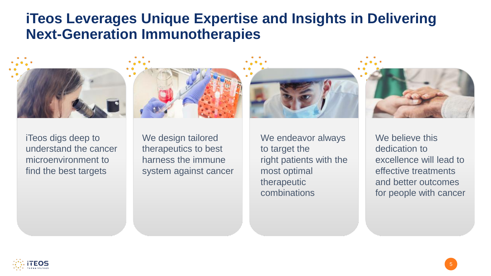### **iTeos Leverages Unique Expertise and Insights in Delivering Next-Generation Immunotherapies**









iTeos digs deep to understand the cancer microenvironment to find the best targets

We design tailored therapeutics to best harness the immune system against cancer We endeavor always to target the right patients with the most optimal therapeutic combinations

We believe this dedication to excellence will lead to effective treatments and better outcomes for people with cancer

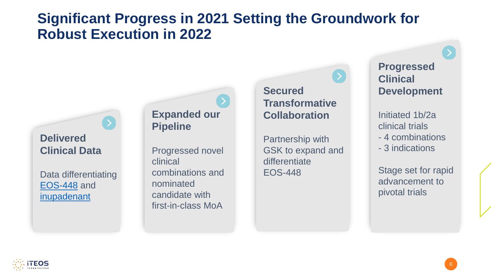## **Significant Progress in 2021 Setting the Groundwork for Robust Execution in 2022**

#### **Delivered Clinical Data**

Data differentiating EOS-448 and [inupadenant](#page-14-0)

#### **Expanded our Pipeline**

Progressed novel clinical combinations and nominated candidate with first-in-class MoA

#### **Secured Transformative Collaboration**

Partnership with GSK to expand and differentiate EOS-448

**Progressed Clinical Development**

Initiated 1b/2a clinical trials - 4 combinations - 3 indications

Stage set for rapid advancement to pivotal trials

6

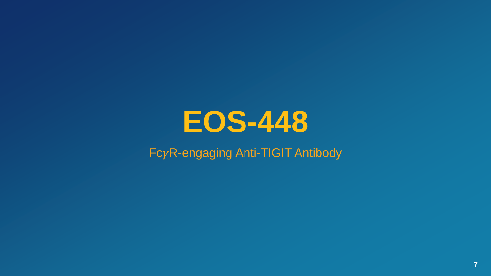

#### $Fc\gamma$ R-engaging Anti-TIGIT Antibody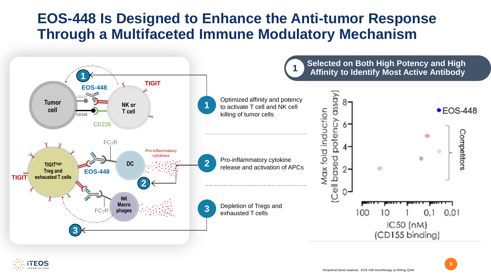# **EOS-448 Is Designed to Enhance the Anti-tumor Response Through a Multifaceted Immune Modulatory Mechanism**

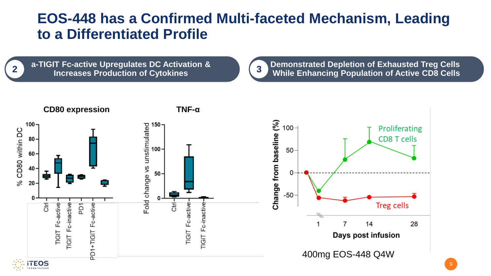## **EOS-448 has a Confirmed Multi-faceted Mechanism, Leading to a Differentiated Profile**

**a-TIGIT Fc-active Upregulates DC Activation & Increases Production of Cytokines 2**

**Demonstrated Depletion of Exhausted Treg Cells While Enhancing Population of Active CD8 Cells 3**

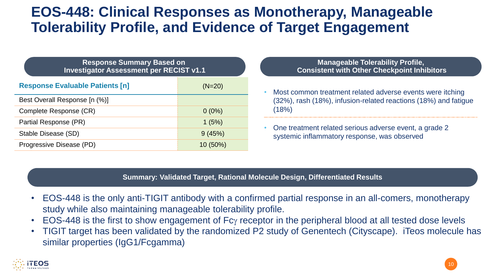# **EOS-448: Clinical Responses as Monotherapy, Manageable Tolerability Profile, and Evidence of Target Engagement**

| <b>Response Summary Based on</b><br><b>Investigator Assessment per RECIST v1.1</b> |            |  |  |  |  |
|------------------------------------------------------------------------------------|------------|--|--|--|--|
| <b>Response Evaluable Patients [n]</b>                                             | $(N=20)$   |  |  |  |  |
| Best Overall Response [n (%)]                                                      |            |  |  |  |  |
| Complete Response (CR)                                                             | $0(0\%)$   |  |  |  |  |
| Partial Response (PR)                                                              | 1(5%)      |  |  |  |  |
| Stable Disease (SD)                                                                | 9(45%)     |  |  |  |  |
| Progressive Disease (PD)                                                           | $10(50\%)$ |  |  |  |  |

#### **Manageable Tolerability Profile, Consistent with Other Checkpoint Inhibitors**

- Most common treatment related adverse events were itching (32%), rash (18%), infusion-related reactions (18%) and fatigue (18%)
- One treatment related serious adverse event, a grade 2 systemic inflammatory response, was observed

**Summary: Validated Target, Rational Molecule Design, Differentiated Results**

- EOS-448 is the only anti-TIGIT antibody with a confirmed partial response in an all-comers, monotherapy study while also maintaining manageable tolerability profile.
- EOS-448 is the first to show engagement of  $Fc<sub>Y</sub>$  receptor in the peripheral blood at all tested dose levels
- TIGIT target has been validated by the randomized P2 study of Genentech (Cityscape). iTeos molecule has similar properties (IgG1/Fcgamma)

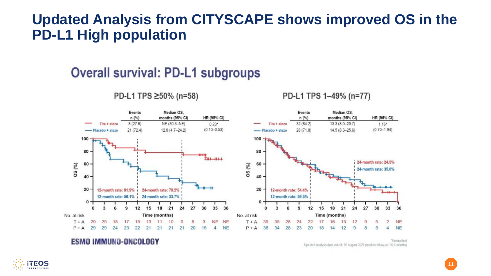#### **Updated Analysis from CITYSCAPE shows improved OS in the PD-L1 High population**

#### **Overall survival: PD-L1 subgroups**

Events Median OS. Events Median OS.  $n$  (%) months (95% CI) HR (95% CI)  $n(%)$ months (95% CI) HR (95% CI)  $8(27.6)$ NE (30.3-NE)  $0.23*$  $32(84.2)$ 13.3 (8.0-20.7)  $1.16*$ Tira + atezo Tira + atezo  $(0.10 - 0.53)$  $(0.70 - 1.94)$  $21(72.4)$  $12.8(4.7 - 24.2)$  $28(71.8)$  $14.5(8.3 - 25.6)$ - Placebo + atezo - Placebo + atezo 100 100 80 80  $11 - 111$ 24-month rate: 24.5% 60 OS (%) 60 OS (%) 24-month rate: 35.0% 40 40 20  $20 -$ 12-month rate: 81.9% i 24-month rate: 78.2% 12-month rate: 54.4% 12-month rate: 56.1% 24-month rate: 33.7% 12-month rate: 59.5%  $\bf{0}$  $\mathbf 0$ 9 12 15 18 21 24 27 30 33 36  $\overline{3}$ 9 12 15 18  $21$ 24 27 30 33 36 No. at risk Time (months) No. at risk Time (months) **NE** 22  $T + A$ 29 17 15 13 10 9 3 **NE** 39 28 24  $17$ 13  $12$  $\overline{2}$ **NE** 25 18 11 8  $T + A$ 35 16 9  $P + A$ 29 29 24 23 22  $21$ 21 21  $21$ 20  $15$  $\boldsymbol{\Lambda}$ **NE**  $P + A$ 38 34 28 23 20 18  $14$  $12$ 9 8  $\Delta$ **NE** 

#### PD-L1 TPS ≥50% (n=58)

PD-L1 TPS 1-49% (n=77)

**ESMO IMMUNO-ONCOLOGY** 

"Urestratified Updated analysis data cut-off: 16 August 2021 (median follow-up: 30.4 months

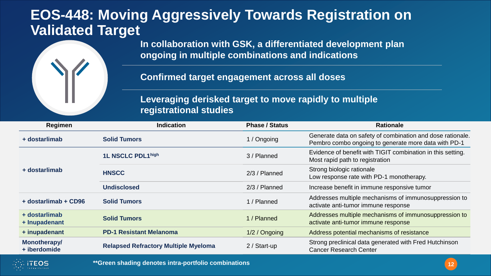#### **EOS-448: Moving Aggressively Towards Registration on Validated Target**



**Confirmed target engagement across all doses**

**Leveraging derisked target to move rapidly to multiple registrational studies**

| Regimen                        | <b>Indication</b>                           | <b>Phase / Status</b> | <b>Rationale</b>                                                                                                   |
|--------------------------------|---------------------------------------------|-----------------------|--------------------------------------------------------------------------------------------------------------------|
| + dostarlimab                  | <b>Solid Tumors</b>                         | 1 / Ongoing           | Generate data on safety of combination and dose rationale.<br>Pembro combo ongoing to generate more data with PD-1 |
|                                | 1L NSCLC PDL1high                           | 3 / Planned           | Evidence of benefit with TIGIT combination in this setting.<br>Most rapid path to registration                     |
| + dostarlimab                  | <b>HNSCC</b>                                | $2/3$ / Planned       | Strong biologic rationale<br>Low response rate with PD-1 monotherapy.                                              |
|                                | <b>Undisclosed</b>                          | $2/3$ / Planned       | Increase benefit in immune responsive tumor                                                                        |
| + dostarlimab + CD96           | <b>Solid Tumors</b>                         | 1 / Planned           | Addresses multiple mechanisms of immunosuppression to<br>activate anti-tumor immune response                       |
| + dostarlimab<br>+ Inupadenant | <b>Solid Tumors</b>                         | 1 / Planned           | Addresses multiple mechanisms of immunosuppression to<br>activate anti-tumor immune response                       |
| + inupadenant                  | <b>PD-1 Resistant Melanoma</b>              | 1/2 / Ongoing         | Address potential mechanisms of resistance                                                                         |
| Monotherapy/<br>+ iberdomide   | <b>Relapsed Refractory Multiple Myeloma</b> | 2 / Start-up          | Strong preclinical data generated with Fred Hutchinson<br><b>Cancer Research Center</b>                            |

**\*\*Green shading denotes intra-portfolio combinations**

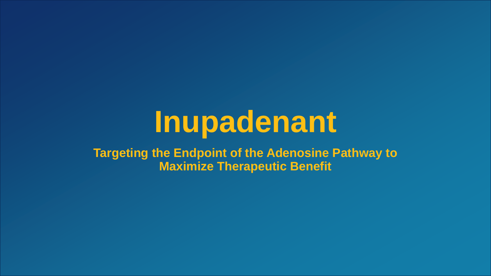# **Inupadenant**

**Targeting the Endpoint of the Adenosine Pathway to Maximize Therapeutic Benefit**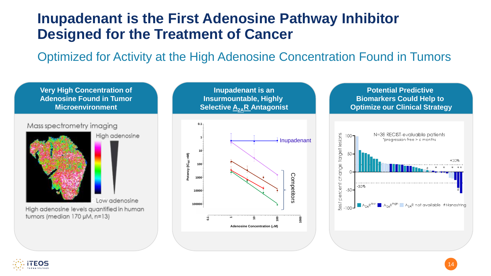# **Inupadenant is the First Adenosine Pathway Inhibitor Designed for the Treatment of Cancer**

Optimized for Activity at the High Adenosine Concentration Found in Tumors



Mass spectrometry imaging



High adenosine

Low adenosine

High adenosine levels quantified in human tumors (median 170 µM, n=13)





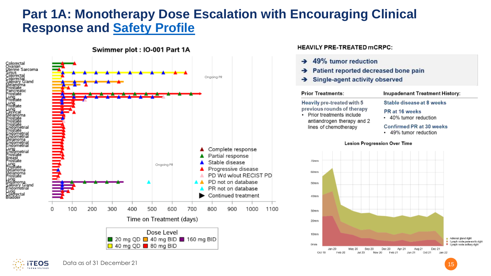#### <span id="page-14-0"></span>**Part 1A: Monotherapy Dose Escalation with Encouraging Clinical Response and Safety Profile**



#### **HEAVILY PRE-TREATED mCRPC:**

 $A<sub>0</sub>0/$  *tumor reduction* 

| <b>Prior Treatments:</b><br>Heavily pre-treated with 5<br>previous rounds of therapy<br>Prior treatments include<br>antiandrogen therapy and 2<br>lines of chemotherapy |  |  |                                                                                                                         | <b>Inupadenant Treatment History:</b> |  |  |  |  |  |  |
|-------------------------------------------------------------------------------------------------------------------------------------------------------------------------|--|--|-------------------------------------------------------------------------------------------------------------------------|---------------------------------------|--|--|--|--|--|--|
|                                                                                                                                                                         |  |  | Stable disease at 8 weeks<br>PR at 16 weeks<br>• 40% tumor reduction<br>Confirmed PR at 30 weeks<br>49% tumor reduction |                                       |  |  |  |  |  |  |
|                                                                                                                                                                         |  |  | Lesion Progression Over Time                                                                                            |                                       |  |  |  |  |  |  |
| 70mm                                                                                                                                                                    |  |  |                                                                                                                         |                                       |  |  |  |  |  |  |
| 60mm                                                                                                                                                                    |  |  |                                                                                                                         |                                       |  |  |  |  |  |  |
| 50mm                                                                                                                                                                    |  |  |                                                                                                                         |                                       |  |  |  |  |  |  |
| 40mm                                                                                                                                                                    |  |  |                                                                                                                         |                                       |  |  |  |  |  |  |
| 30mm                                                                                                                                                                    |  |  |                                                                                                                         |                                       |  |  |  |  |  |  |
| 20mm                                                                                                                                                                    |  |  |                                                                                                                         |                                       |  |  |  |  |  |  |
|                                                                                                                                                                         |  |  |                                                                                                                         |                                       |  |  |  |  |  |  |

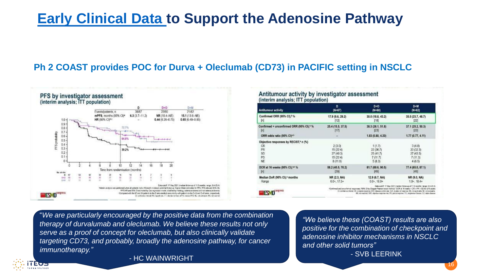# **Early Clinical Data to Support the Adenosine Pathway**

#### **Ph 2 COAST provides POC for Durva + Oleclumab (CD73) in PACIFIC setting in NSCLC**



#### Antitumour activity by investigator assessment (interim analysis: ITT population)

| Antitumour activity                                                         | D                                                    | D+O                                                                                                                                                                                                                                                                                                                                                                                      | $D+M$                                                                       |  |
|-----------------------------------------------------------------------------|------------------------------------------------------|------------------------------------------------------------------------------------------------------------------------------------------------------------------------------------------------------------------------------------------------------------------------------------------------------------------------------------------------------------------------------------------|-----------------------------------------------------------------------------|--|
|                                                                             | $(N=67)$                                             | $(N=60)$                                                                                                                                                                                                                                                                                                                                                                                 | $(N=62)$                                                                    |  |
| Confirmed ORR (95% CI). <sup>6</sup> %                                      | 17.9 (9.6, 29.2)                                     | 30.0 (18.8, 43.2)                                                                                                                                                                                                                                                                                                                                                                        | 35.5 (23.7, 48.7)                                                           |  |
| [n]                                                                         | [12]                                                 | [18]                                                                                                                                                                                                                                                                                                                                                                                     | $[22]$                                                                      |  |
| Confirmed + unconfirmed ORR (95% CI). <sup>b</sup> %                        | 25.4 (15.5, 37.5)                                    | 38.3 (26.1, 51.8)                                                                                                                                                                                                                                                                                                                                                                        | 37.1 (25.2, 50.3)                                                           |  |
| [n]                                                                         | [17]                                                 | [23]                                                                                                                                                                                                                                                                                                                                                                                     | [23]                                                                        |  |
| ORR odds ratio (95% CI) <sup>A/3</sup>                                      |                                                      | 1.83 (0.80, 4.20)                                                                                                                                                                                                                                                                                                                                                                        | $1.77$ (0.77, 4.11)                                                         |  |
| Objective responses by RECIST,* n (%)<br><b>CR</b><br>PR<br>SD<br>PD<br>NE. | 2(3.0)<br>15(22.4)<br>27(403)<br>15(22.4)<br>8(11.9) | 1(1.7)<br>22(38.7)<br>25(41.7)<br>7(11.7)<br>5(8.3)                                                                                                                                                                                                                                                                                                                                      | 3(4.8)<br>20 (32.3)<br>27(43.5)<br>7(11.3)<br>4(6.5)                        |  |
| DCR at 16 weeks (95% CI). <sup>46</sup> %                                   | 58.2 (45.5, 70.2)                                    | 81.7 (69.6, 90.5)                                                                                                                                                                                                                                                                                                                                                                        | 77.4 (65.0, 87.1)                                                           |  |
| [n]                                                                         | [39]                                                 | [49]                                                                                                                                                                                                                                                                                                                                                                                     | 48                                                                          |  |
| Median DoR (95% Cl),* months                                                | NR (2.3, NA)                                         | 12.9 (6.7, NA)                                                                                                                                                                                                                                                                                                                                                                           | NR (9.0, NA)                                                                |  |
| Range                                                                       | $0.0*, 17.5*$                                        | $0.0-.16.9+$                                                                                                                                                                                                                                                                                                                                                                             | $1.9 - 18.4 +$                                                              |  |
| <b>ME 165</b>                                                               |                                                      | "Continued and uncertained responses; 195% Cliby Clopper-Pearson exact method; "DCR at 16 reselve + CR + PR + SD for 215 weeks<br>Cit confidence intend. CR complete tragginer DCR designs control rule. CoR duration of response NA, not applicable NE, not evaluable.<br>Wil not mached: GSI, objective response rate FR, partial response FO: progressive disease. SD: radio disease. | Data cutoff: 17 May 2021 (median follow-up of 11.5 months: range; 0.4-23.4) |  |

*"*  "*We are particularly encouraged by the positive data from the combination therapy of durvalumab and oleclumab. We believe these results not only serve as a proof of concept for oleclumab, but also clinically validate targeting CD73, and probably, broadly the adenosine pathway, for cancer immunotherapy."*

*"We believe these (COAST) results are also positive for the combination of checkpoint and adenosine inhibitor mechanisms in NSCLC and other solid tumors"* - SVB LEERINK



16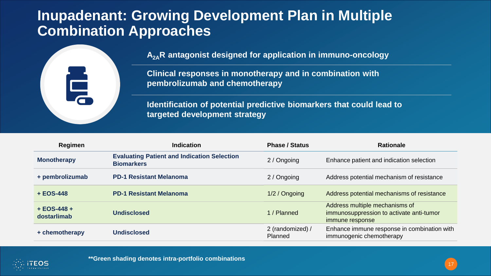## **Inupadenant: Growing Development Plan in Multiple Combination Approaches**



**A2AR antagonist designed for application in immuno-oncology**

**Clinical responses in monotherapy and in combination with pembrolizumab and chemotherapy**

**Identification of potential predictive biomarkers that could lead to targeted development strategy**

| Regimen                      | <b>Indication</b>                                                       | <b>Phase / Status</b>       | <b>Rationale</b>                                                                              |
|------------------------------|-------------------------------------------------------------------------|-----------------------------|-----------------------------------------------------------------------------------------------|
| <b>Monotherapy</b>           | <b>Evaluating Patient and Indication Selection</b><br><b>Biomarkers</b> | 2 / Ongoing                 | Enhance patient and indication selection                                                      |
| + pembrolizumab              | <b>PD-1 Resistant Melanoma</b>                                          | 2 / Ongoing                 | Address potential mechanism of resistance                                                     |
| $+ EOS-448$                  | <b>PD-1 Resistant Melanoma</b>                                          | 1/2 / Ongoing               | Address potential mechanisms of resistance                                                    |
| $+ EOS-448 +$<br>dostarlimab | <b>Undisclosed</b>                                                      | 1 / Planned                 | Address multiple mechanisms of<br>immunosuppression to activate anti-tumor<br>immune response |
| + chemotherapy               | <b>Undisclosed</b>                                                      | 2 (randomized) /<br>Planned | Enhance immune response in combination with<br>immunogenic chemotherapy                       |



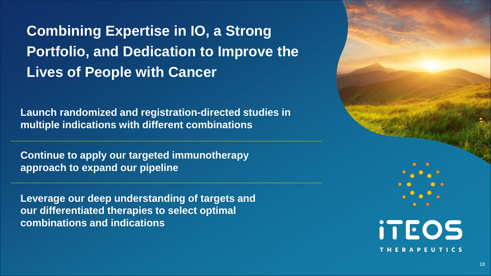**Combining Expertise in IO, a Strong Portfolio, and Dedication to Improve the Lives of People with Cancer**

**Launch randomized and registration-directed studies in multiple indications with different combinations**

**Continue to apply our targeted immunotherapy approach to expand our pipeline**

**Leverage our deep understanding of targets and our differentiated therapies to select optimal combinations and indications**